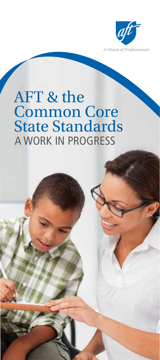

# AFT & the Common Core State Standards a work in progress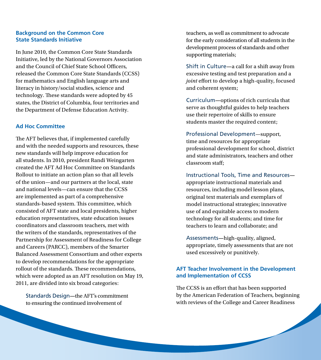### **Background on the Common Core State Standards Initiative**

In June 2010, the Common Core State Standards Initiative, led by the National Governors Association and the Council of Chief State School Officers, released the Common Core State Standards (CCSS) for mathematics and English language arts and literacy in history/social studies, science and technology. These standards were adopted by 45 states, the District of Columbia, four territories and the Department of Defense Education Activity.

#### **Ad Hoc Committee**

The AFT believes that, if implemented carefully and with the needed supports and resources, these new standards will help improve education for all students. In 2010, president Randi Weingarten created the AFT Ad Hoc Committee on Standards Rollout to initiate an action plan so that all levels of the union—and our partners at the local, state and national levels—can ensure that the CCSS are implemented as part of a comprehensive standards-based system. This committee, which consisted of AFT state and local presidents, higher education representatives, state education issues coordinators and classroom teachers, met with the writers of the standards, representatives of the Partnership for Assessment of Readiness for College and Careers (PARCC), members of the Smarter Balanced Assessment Consortium and other experts to develop recommendations for the appropriate rollout of the standards. These recommendations, which were adopted as an AFT resolution on May 19, 2011, are divided into six broad categories:

Standards Design**—**the AFT's commitment to ensuring the continued involvement of

teachers, as well as commitment to advocate for the early consideration of all students in the development process of standards and other supporting materials;

Shift in Culture**—**a call for a shift away from excessive testing and test preparation and a *joint* effort to develop a high-quality, focused and coherent system;

Curriculum**—**options of rich curricula that serve as thoughtful guides to help teachers use their repertoire of skills to ensure students master the required content;

Professional Development—support, time and resources for appropriate professional development for school, district and state administrators, teachers and other classroom staff;

Instructional Tools, Time and Resources appropriate instructional materials and resources, including model lesson plans, original text materials and exemplars of model instructional strategies; innovative use of and equitable access to modern technology for all students; and time for teachers to learn and collaborate; and

Assessments**—**high-quality, aligned, appropriate, timely assessments that are not used excessively or punitively.

### **AFT Teacher Involvement in the Development and Implementation of CCSS**

The CCSS is an effort that has been supported by the American Federation of Teachers, beginning with reviews of the College and Career Readiness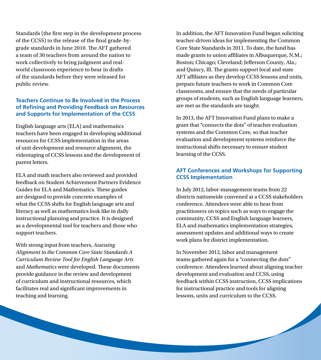Standards (the first step in the development process of the CCSS) to the release of the final grade-bygrade standards in June 2010. The AFT gathered a team of 30 teachers from around the nation to work collectively to bring judgment and realworld classroom experience to bear in drafts of the standards before they were released for public review.

# **Teachers Continue to Be Involved in the Process of Refining and Providing Feedback on Resources and Supports for Implementation of the CCSS**

English language arts (ELA) and mathematics teachers have been engaged in developing additional resources for CCSS implementation in the areas of unit development and resource alignment, the videotaping of CCSS lessons and the development of parent letters.

ELA and math teachers also reviewed and provided feedback on Student Achievement Partners Evidence Guides for ELA and Mathematics. These guides are designed to provide concrete examples of what the CCSS shifts for English language arts and literacy as well as mathematics look like in daily instructional planning and practice. It is designed as a developmental tool for teachers and those who support teachers.

With strong input from teachers, *Assessing Alignment to the Common Core State Standards A Curriculum Review Tool for English Language Arts*  and *Mathematics* were developed. These documents provide guidance in the review and development of curriculum and instructional resources, which facilitates real and significant improvements in teaching and learning.

In addition, the AFT Innovation Fund began soliciting teacher-driven ideas for implementing the Common Core State Standards in 2011. To date, the fund has made grants to union affiliates in Albuquerque, N.M.; Boston; Chicago; Cleveland; Jefferson County, Ala.; and Quincy, Ill. The grants support local and state AFT affiliates as they develop CCSS lessons and units, prepare future teachers to work in Common Core classrooms, and ensure that the needs of particular groups of students, such as English language learners, are met as the standards are taught.

In 2013, the AFT Innovation Fund plans to make a grant that "connects the dots" of teacher evaluation systems and the Common Core, so that teacher evaluation and development systems reinforce the instructional shifts necessary to ensure student learning of the CCSS.

# **AFT Conferences and Workshops for Supporting CCSS Implementation**

In July 2012, labor-management teams from 22 districts nationwide convened at a CCSS stakeholders conference. Attendees were able to hear from practitioners on topics such as ways to engage the community, CCSS and English language learners, ELA and mathematics implementation strategies, assessment updates and additional ways to create work plans for district implementation.

In November 2012, labor and management teams gathered again for a "connecting the dots" conference. Attendees learned about aligning teacher development and evaluation and CCSS, using feedback within CCSS instruction, CCSS implications for instructional practice and tools for aligning lessons, units and curriculum to the CCSS.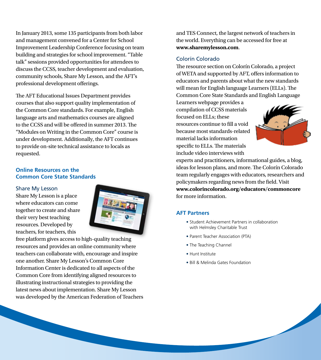In January 2013, some 135 participants from both labor and management convened for a Center for School Improvement Leadership Conference focusing on team building and strategies for school improvement. "Table talk" sessions provided opportunities for attendees to discuss the CCSS, teacher development and evaluation, community schools, Share My Lesson, and the AFT's professional development offerings.

The AFT Educational Issues Department provides courses that also support quality implementation of the Common Core standards. For example, English language arts and mathematics courses are aligned to the CCSS and will be offered in summer 2013. The "Modules on Writing in the Common Core" course is under development. Additionally, the AFT continues to provide on-site technical assistance to locals as requested.

#### **Online Resources on the Common Core State Standards**

#### Share My Lesson

Share My Lesson is a place where educators can come together to create and share their very best teaching resources. Developed by teachers, for teachers, this



free platform gives access to high-quality teaching resources and provides an online community where teachers can collaborate with, encourage and inspire one another. Share My Lesson's Common Core Information Center is dedicated to all aspects of the Common Core from identifying aligned resources to illustrating instructional strategies to providing the latest news about implementation. Share My Lesson was developed by the American Federation of Teachers

and TES Connect, the largest network of teachers in the world. Everything can be accessed for free at **www.sharemylesson.com**.

#### Colorín Colorado

The resource section on Colorín Colorado, a project of WETA and supported by AFT, offers information to educators and parents about what the new standards will mean for English language Learners (ELLs). The Common Core State Standards and English Language

Learners webpage provides a compilation of CCSS materials focused on ELLs; these resources continue to fill a void because most standards-related material lacks information specific to ELLs. The materials include video interviews with



experts and practitioners, informational guides, a blog, ideas for lesson plans, and more. The Colorín Colorado team regularly engages with educators, researchers and policymakers regarding news from the field. Visit **www.colorincolorado.org/educators/commoncore** for more information.

#### **AFT Partners**

- Student Achievement Partners in collaboration with Helmsley Charitable Trust
- Parent Teacher Association (PTA)
- The Teaching Channel
- Hunt Institute
- Bill & Melinda Gates Foundation